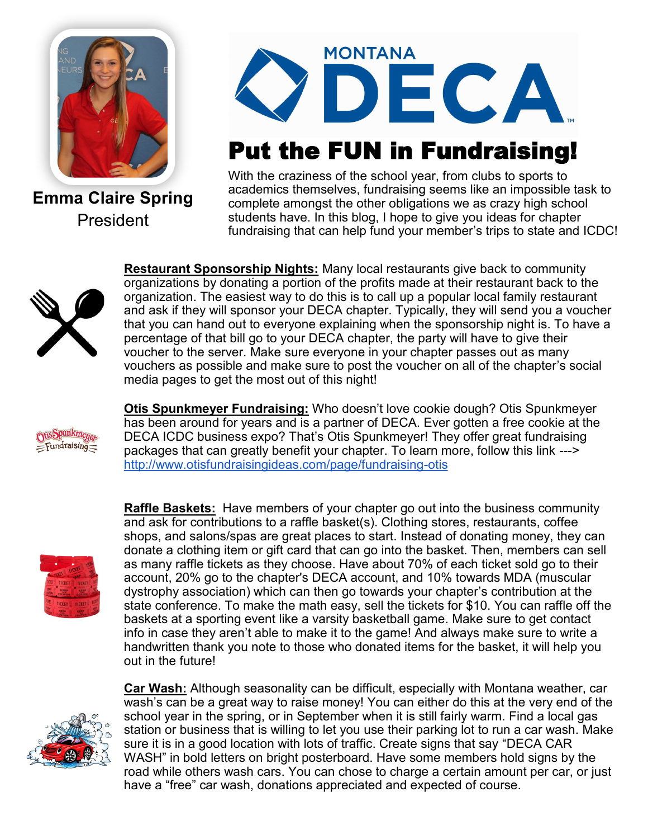

**Emma Claire Spring** President



## Put the FUN in Fundraising!

With the craziness of the school year, from clubs to sports to academics themselves, fundraising seems like an impossible task to complete amongst the other obligations we as crazy high school students have. In this blog, I hope to give you ideas for chapter fundraising that can help fund your member's trips to state and ICDC!



**Restaurant Sponsorship Nights:** Many local restaurants give back to community organizations by donating a portion of the profits made at their restaurant back to the organization. The easiest way to do this is to call up a popular local family restaurant and ask if they will sponsor your DECA chapter. Typically, they will send you a voucher that you can hand out to everyone explaining when the sponsorship night is. To have a percentage of that bill go to your DECA chapter, the party will have to give their voucher to the server. Make sure everyone in your chapter passes out as many vouchers as possible and make sure to post the voucher on all of the chapter's social media pages to get the most out of this night!

sSpunkmeuer  $=$ Fundraising $=$ 

**Otis Spunkmeyer Fundraising:** Who doesn't love cookie dough? Otis Spunkmeyer has been around for years and is a partner of DECA. Ever gotten a free cookie at the DECA ICDC business expo? That's Otis Spunkmeyer! They offer great fundraising packages that can greatly benefit your chapter. To learn more, follow this link ---> [http://www.otisfundraisingideas.com/page/fundraising](http://www.otisfundraisingideas.com/page/fundraising-otis)-otis



**Raffle Baskets:** Have members of your chapter go out into the business community and ask for contributions to a raffle basket(s). Clothing stores, restaurants, coffee shops, and salons/spas are great places to start. Instead of donating money, they can donate a clothing item or gift card that can go into the basket. Then, members can sell as many raffle tickets as they choose. Have about 70% of each ticket sold go to their account, 20% go to the chapter's DECA account, and 10% towards MDA (muscular dystrophy association) which can then go towards your chapter's contribution at the state conference. To make the math easy, sell the tickets for \$10. You can raffle off the baskets at a sporting event like a varsity basketball game. Make sure to get contact info in case they aren't able to make it to the game! And always make sure to write a handwritten thank you note to those who donated items for the basket, it will help you out in the future!



**Car Wash:** Although seasonality can be difficult, especially with Montana weather, car wash's can be a great way to raise money! You can either do this at the very end of the school year in the spring, or in September when it is still fairly warm. Find a local gas station or business that is willing to let you use their parking lot to run a car wash. Make sure it is in a good location with lots of traffic. Create signs that say "DECA CAR WASH" in bold letters on bright posterboard. Have some members hold signs by the road while others wash cars. You can chose to charge a certain amount per car, or just have a "free" car wash, donations appreciated and expected of course.